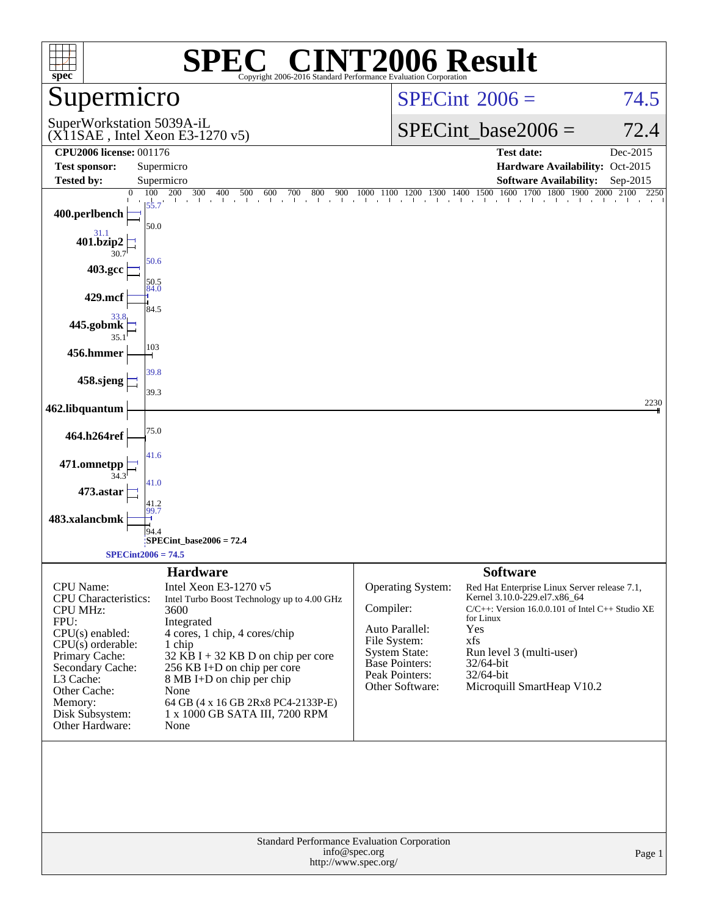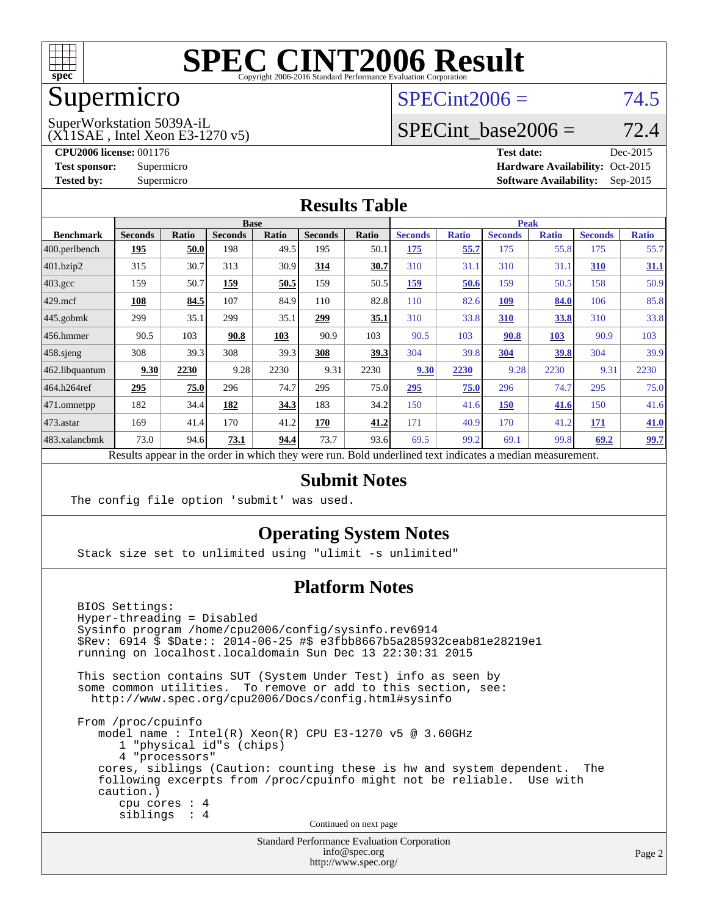

## Supermicro

#### $SPECint2006 = 74.5$  $SPECint2006 = 74.5$

(X11SAE , Intel Xeon E3-1270 v5) SuperWorkstation 5039A-iL

SPECint base2006 =  $72.4$ 

**[CPU2006 license:](http://www.spec.org/auto/cpu2006/Docs/result-fields.html#CPU2006license)** 001176 **[Test date:](http://www.spec.org/auto/cpu2006/Docs/result-fields.html#Testdate)** Dec-2015 **[Test sponsor:](http://www.spec.org/auto/cpu2006/Docs/result-fields.html#Testsponsor)** Supermicro Supermicro **[Hardware Availability:](http://www.spec.org/auto/cpu2006/Docs/result-fields.html#HardwareAvailability)** Oct-2015 **[Tested by:](http://www.spec.org/auto/cpu2006/Docs/result-fields.html#Testedby)** Supermicro **Supermicro [Software Availability:](http://www.spec.org/auto/cpu2006/Docs/result-fields.html#SoftwareAvailability)** Sep-2015

#### **[Results Table](http://www.spec.org/auto/cpu2006/Docs/result-fields.html#ResultsTable)**

|                                                                                                          | <b>Base</b>    |              |                |       |                |             | <b>Peak</b>    |              |                |              |                |              |
|----------------------------------------------------------------------------------------------------------|----------------|--------------|----------------|-------|----------------|-------------|----------------|--------------|----------------|--------------|----------------|--------------|
| <b>Benchmark</b>                                                                                         | <b>Seconds</b> | <b>Ratio</b> | <b>Seconds</b> | Ratio | <b>Seconds</b> | Ratio       | <b>Seconds</b> | <b>Ratio</b> | <b>Seconds</b> | <b>Ratio</b> | <b>Seconds</b> | <b>Ratio</b> |
| $ 400.\text{perlbench}$                                                                                  | <u>195</u>     | 50.0         | 198            | 49.5  | 195            | 50.1        | 175            | 55.7         | 175            | 55.8         | 175            | 55.7         |
| 401.bzip2                                                                                                | 315            | 30.7         | 313            | 30.9  | 314            | 30.7        | 310            | 31.1         | 310            | 31.1         | 310            | 31.1         |
| $403.\text{gcc}$                                                                                         | 159            | 50.7         | 159            | 50.5  | 159            | 50.5        | 159            | 50.6         | 159            | 50.5         | 158            | 50.9         |
| $429$ mcf                                                                                                | 108            | 84.5         | 107            | 84.9  | 110            | 82.8        | 110            | 82.6         | 109            | 84.0         | 106            | 85.8         |
| $445$ .gobmk                                                                                             | 299            | 35.1         | 299            | 35.1  | <u> 299</u>    | <u>35.1</u> | 310            | 33.8         | <b>310</b>     | <u>33.8</u>  | 310            | 33.8         |
| $456.$ hmmer                                                                                             | 90.5           | 103          | 90.8           | 103   | 90.9           | 103         | 90.5           | 103          | 90.8           | 103          | 90.9           | 103          |
| $458$ .sjeng                                                                                             | 308            | 39.3         | 308            | 39.3  | 308            | 39.3        | 304            | 39.8         | 304            | 39.8         | 304            | 39.9         |
| 462.libquantum                                                                                           | 9.30           | 2230         | 9.28           | 2230  | 9.31           | 2230        | 9.30           | 2230         | 9.28           | 2230         | 9.31           | 2230         |
| 464.h264ref                                                                                              | 295            | 75.0         | 296            | 74.7  | 295            | 75.0        | 295            | 75.0         | 296            | 74.7         | 295            | 75.0         |
| $ 471$ .omnetpp                                                                                          | 182            | 34.4         | 182            | 34.3  | 183            | 34.2        | 150            | 41.6         | 150            | 41.6         | 150            | 41.6         |
| $473$ . astar                                                                                            | 169            | 41.4         | 170            | 41.2  | 170            | 41.2        | 171            | 40.9         | 170            | 41.2         | 171            | 41.0         |
| 483.xalancbmk                                                                                            | 73.0           | 94.6         | 73.1           | 94.4  | 73.7           | 93.6        | 69.5           | 99.2         | 69.1           | 99.8         | 69.2           | <u>99.7</u>  |
| Results appear in the order in which they were run. Bold underlined text indicates a median measurement. |                |              |                |       |                |             |                |              |                |              |                |              |

#### **[Submit Notes](http://www.spec.org/auto/cpu2006/Docs/result-fields.html#SubmitNotes)**

The config file option 'submit' was used.

#### **[Operating System Notes](http://www.spec.org/auto/cpu2006/Docs/result-fields.html#OperatingSystemNotes)**

Stack size set to unlimited using "ulimit -s unlimited"

#### **[Platform Notes](http://www.spec.org/auto/cpu2006/Docs/result-fields.html#PlatformNotes)**

 BIOS Settings: Hyper-threading = Disabled Sysinfo program /home/cpu2006/config/sysinfo.rev6914 \$Rev: 6914 \$ \$Date:: 2014-06-25 #\$ e3fbb8667b5a285932ceab81e28219e1 running on localhost.localdomain Sun Dec 13 22:30:31 2015 This section contains SUT (System Under Test) info as seen by some common utilities. To remove or add to this section, see: <http://www.spec.org/cpu2006/Docs/config.html#sysinfo> From /proc/cpuinfo model name : Intel(R) Xeon(R) CPU E3-1270 v5 @ 3.60GHz 1 "physical id"s (chips) 4 "processors" cores, siblings (Caution: counting these is hw and system dependent. The following excerpts from /proc/cpuinfo might not be reliable. Use with caution.) cpu cores : 4 siblings : 4 Continued on next page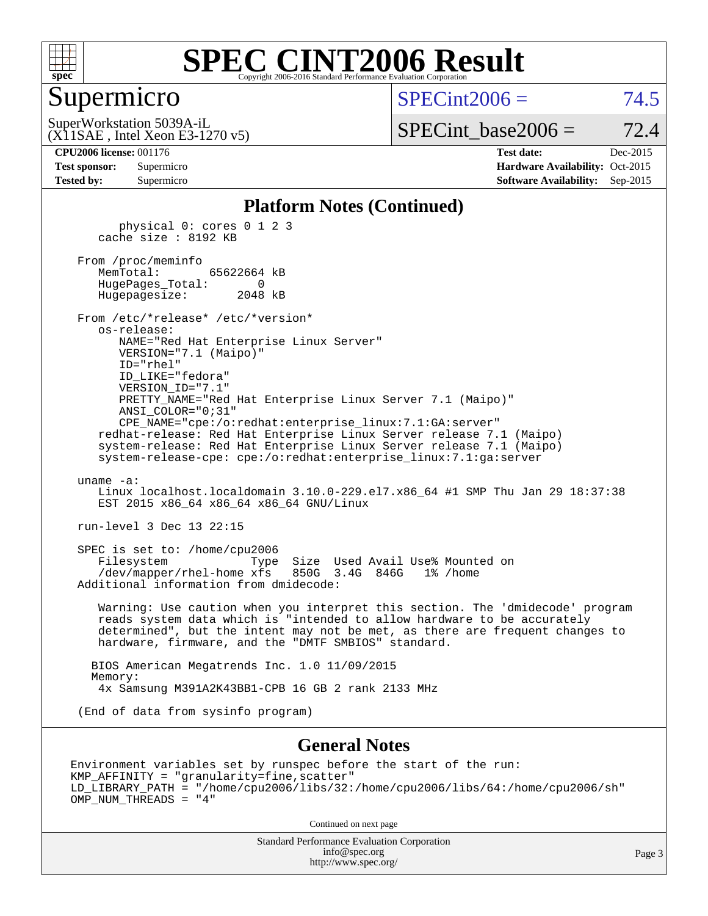

#### Supermicro

 $SPECint2006 = 74.5$  $SPECint2006 = 74.5$ 

(X11SAE , Intel Xeon E3-1270 v5) SuperWorkstation 5039A-iL

 $SPECTnt\_base2006 = 72.4$ 

| <b>Test sponsor:</b> | Supermicro |
|----------------------|------------|
| <b>Tested by:</b>    | Supermicro |

**[CPU2006 license:](http://www.spec.org/auto/cpu2006/Docs/result-fields.html#CPU2006license)** 001176 **[Test date:](http://www.spec.org/auto/cpu2006/Docs/result-fields.html#Testdate)** Dec-2015 **[Hardware Availability:](http://www.spec.org/auto/cpu2006/Docs/result-fields.html#HardwareAvailability)** Oct-2015 **[Software Availability:](http://www.spec.org/auto/cpu2006/Docs/result-fields.html#SoftwareAvailability)** Sep-2015

#### **[Platform Notes \(Continued\)](http://www.spec.org/auto/cpu2006/Docs/result-fields.html#PlatformNotes)**

 physical 0: cores 0 1 2 3 cache size : 8192 KB From /proc/meminfo MemTotal: 65622664 kB HugePages\_Total: 0 Hugepagesize: 2048 kB From /etc/\*release\* /etc/\*version\* os-release: NAME="Red Hat Enterprise Linux Server" VERSION="7.1 (Maipo)" ID="rhel" ID\_LIKE="fedora" VERSION\_ID="7.1" PRETTY\_NAME="Red Hat Enterprise Linux Server 7.1 (Maipo)" ANSI\_COLOR="0;31" CPE\_NAME="cpe:/o:redhat:enterprise\_linux:7.1:GA:server" redhat-release: Red Hat Enterprise Linux Server release 7.1 (Maipo) system-release: Red Hat Enterprise Linux Server release 7.1 (Maipo) system-release-cpe: cpe:/o:redhat:enterprise\_linux:7.1:ga:server uname -a: Linux localhost.localdomain 3.10.0-229.el7.x86\_64 #1 SMP Thu Jan 29 18:37:38 EST 2015 x86 64 x86 64 x86 64 GNU/Linux run-level 3 Dec 13 22:15 SPEC is set to: /home/cpu2006 Filesystem Type Size Used Avail Use% Mounted on /dev/mapper/rhel-home xfs 850G 3.4G 846G 1% /home Additional information from dmidecode: Warning: Use caution when you interpret this section. The 'dmidecode' program reads system data which is "intended to allow hardware to be accurately determined", but the intent may not be met, as there are frequent changes to hardware, firmware, and the "DMTF SMBIOS" standard. BIOS American Megatrends Inc. 1.0 11/09/2015 Memory: 4x Samsung M391A2K43BB1-CPB 16 GB 2 rank 2133 MHz

(End of data from sysinfo program)

#### **[General Notes](http://www.spec.org/auto/cpu2006/Docs/result-fields.html#GeneralNotes)**

Environment variables set by runspec before the start of the run: KMP\_AFFINITY = "granularity=fine,scatter" LD\_LIBRARY\_PATH = "/home/cpu2006/libs/32:/home/cpu2006/libs/64:/home/cpu2006/sh" OMP\_NUM\_THREADS = "4"

Continued on next page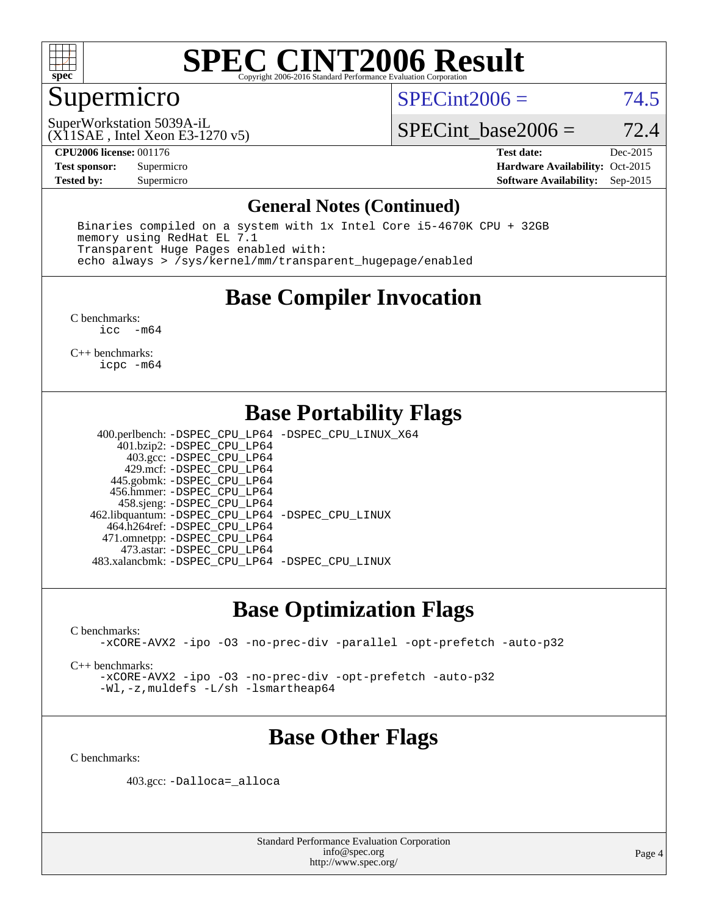

### Supermicro

 $SPECint2006 = 74.5$  $SPECint2006 = 74.5$ 

(X11SAE , Intel Xeon E3-1270 v5) SuperWorkstation 5039A-iL

SPECint base2006 =  $72.4$ 

**[CPU2006 license:](http://www.spec.org/auto/cpu2006/Docs/result-fields.html#CPU2006license)** 001176 **[Test date:](http://www.spec.org/auto/cpu2006/Docs/result-fields.html#Testdate)** Dec-2015 **[Test sponsor:](http://www.spec.org/auto/cpu2006/Docs/result-fields.html#Testsponsor)** Supermicro **[Hardware Availability:](http://www.spec.org/auto/cpu2006/Docs/result-fields.html#HardwareAvailability)** Oct-2015 **[Tested by:](http://www.spec.org/auto/cpu2006/Docs/result-fields.html#Testedby)** Supermicro **Supermicro [Software Availability:](http://www.spec.org/auto/cpu2006/Docs/result-fields.html#SoftwareAvailability)** Sep-2015

#### **[General Notes \(Continued\)](http://www.spec.org/auto/cpu2006/Docs/result-fields.html#GeneralNotes)**

 Binaries compiled on a system with 1x Intel Core i5-4670K CPU + 32GB memory using RedHat EL 7.1 Transparent Huge Pages enabled with: echo always > /sys/kernel/mm/transparent\_hugepage/enabled

### **[Base Compiler Invocation](http://www.spec.org/auto/cpu2006/Docs/result-fields.html#BaseCompilerInvocation)**

[C benchmarks](http://www.spec.org/auto/cpu2006/Docs/result-fields.html#Cbenchmarks): [icc -m64](http://www.spec.org/cpu2006/results/res2016q1/cpu2006-20151217-38476.flags.html#user_CCbase_intel_icc_64bit_f346026e86af2a669e726fe758c88044)

[C++ benchmarks:](http://www.spec.org/auto/cpu2006/Docs/result-fields.html#CXXbenchmarks) [icpc -m64](http://www.spec.org/cpu2006/results/res2016q1/cpu2006-20151217-38476.flags.html#user_CXXbase_intel_icpc_64bit_fc66a5337ce925472a5c54ad6a0de310)

### **[Base Portability Flags](http://www.spec.org/auto/cpu2006/Docs/result-fields.html#BasePortabilityFlags)**

 400.perlbench: [-DSPEC\\_CPU\\_LP64](http://www.spec.org/cpu2006/results/res2016q1/cpu2006-20151217-38476.flags.html#b400.perlbench_basePORTABILITY_DSPEC_CPU_LP64) [-DSPEC\\_CPU\\_LINUX\\_X64](http://www.spec.org/cpu2006/results/res2016q1/cpu2006-20151217-38476.flags.html#b400.perlbench_baseCPORTABILITY_DSPEC_CPU_LINUX_X64) 401.bzip2: [-DSPEC\\_CPU\\_LP64](http://www.spec.org/cpu2006/results/res2016q1/cpu2006-20151217-38476.flags.html#suite_basePORTABILITY401_bzip2_DSPEC_CPU_LP64) 403.gcc: [-DSPEC\\_CPU\\_LP64](http://www.spec.org/cpu2006/results/res2016q1/cpu2006-20151217-38476.flags.html#suite_basePORTABILITY403_gcc_DSPEC_CPU_LP64) 429.mcf: [-DSPEC\\_CPU\\_LP64](http://www.spec.org/cpu2006/results/res2016q1/cpu2006-20151217-38476.flags.html#suite_basePORTABILITY429_mcf_DSPEC_CPU_LP64) 445.gobmk: [-DSPEC\\_CPU\\_LP64](http://www.spec.org/cpu2006/results/res2016q1/cpu2006-20151217-38476.flags.html#suite_basePORTABILITY445_gobmk_DSPEC_CPU_LP64) 456.hmmer: [-DSPEC\\_CPU\\_LP64](http://www.spec.org/cpu2006/results/res2016q1/cpu2006-20151217-38476.flags.html#suite_basePORTABILITY456_hmmer_DSPEC_CPU_LP64) 458.sjeng: [-DSPEC\\_CPU\\_LP64](http://www.spec.org/cpu2006/results/res2016q1/cpu2006-20151217-38476.flags.html#suite_basePORTABILITY458_sjeng_DSPEC_CPU_LP64) 462.libquantum: [-DSPEC\\_CPU\\_LP64](http://www.spec.org/cpu2006/results/res2016q1/cpu2006-20151217-38476.flags.html#suite_basePORTABILITY462_libquantum_DSPEC_CPU_LP64) [-DSPEC\\_CPU\\_LINUX](http://www.spec.org/cpu2006/results/res2016q1/cpu2006-20151217-38476.flags.html#b462.libquantum_baseCPORTABILITY_DSPEC_CPU_LINUX) 464.h264ref: [-DSPEC\\_CPU\\_LP64](http://www.spec.org/cpu2006/results/res2016q1/cpu2006-20151217-38476.flags.html#suite_basePORTABILITY464_h264ref_DSPEC_CPU_LP64) 471.omnetpp: [-DSPEC\\_CPU\\_LP64](http://www.spec.org/cpu2006/results/res2016q1/cpu2006-20151217-38476.flags.html#suite_basePORTABILITY471_omnetpp_DSPEC_CPU_LP64) 473.astar: [-DSPEC\\_CPU\\_LP64](http://www.spec.org/cpu2006/results/res2016q1/cpu2006-20151217-38476.flags.html#suite_basePORTABILITY473_astar_DSPEC_CPU_LP64) 483.xalancbmk: [-DSPEC\\_CPU\\_LP64](http://www.spec.org/cpu2006/results/res2016q1/cpu2006-20151217-38476.flags.html#suite_basePORTABILITY483_xalancbmk_DSPEC_CPU_LP64) [-DSPEC\\_CPU\\_LINUX](http://www.spec.org/cpu2006/results/res2016q1/cpu2006-20151217-38476.flags.html#b483.xalancbmk_baseCXXPORTABILITY_DSPEC_CPU_LINUX)

#### **[Base Optimization Flags](http://www.spec.org/auto/cpu2006/Docs/result-fields.html#BaseOptimizationFlags)**

[C benchmarks](http://www.spec.org/auto/cpu2006/Docs/result-fields.html#Cbenchmarks):

[-xCORE-AVX2](http://www.spec.org/cpu2006/results/res2016q1/cpu2006-20151217-38476.flags.html#user_CCbase_f-xAVX2_5f5fc0cbe2c9f62c816d3e45806c70d7) [-ipo](http://www.spec.org/cpu2006/results/res2016q1/cpu2006-20151217-38476.flags.html#user_CCbase_f-ipo) [-O3](http://www.spec.org/cpu2006/results/res2016q1/cpu2006-20151217-38476.flags.html#user_CCbase_f-O3) [-no-prec-div](http://www.spec.org/cpu2006/results/res2016q1/cpu2006-20151217-38476.flags.html#user_CCbase_f-no-prec-div) [-parallel](http://www.spec.org/cpu2006/results/res2016q1/cpu2006-20151217-38476.flags.html#user_CCbase_f-parallel) [-opt-prefetch](http://www.spec.org/cpu2006/results/res2016q1/cpu2006-20151217-38476.flags.html#user_CCbase_f-opt-prefetch) [-auto-p32](http://www.spec.org/cpu2006/results/res2016q1/cpu2006-20151217-38476.flags.html#user_CCbase_f-auto-p32)

[C++ benchmarks:](http://www.spec.org/auto/cpu2006/Docs/result-fields.html#CXXbenchmarks)

[-xCORE-AVX2](http://www.spec.org/cpu2006/results/res2016q1/cpu2006-20151217-38476.flags.html#user_CXXbase_f-xAVX2_5f5fc0cbe2c9f62c816d3e45806c70d7) [-ipo](http://www.spec.org/cpu2006/results/res2016q1/cpu2006-20151217-38476.flags.html#user_CXXbase_f-ipo) [-O3](http://www.spec.org/cpu2006/results/res2016q1/cpu2006-20151217-38476.flags.html#user_CXXbase_f-O3) [-no-prec-div](http://www.spec.org/cpu2006/results/res2016q1/cpu2006-20151217-38476.flags.html#user_CXXbase_f-no-prec-div) [-opt-prefetch](http://www.spec.org/cpu2006/results/res2016q1/cpu2006-20151217-38476.flags.html#user_CXXbase_f-opt-prefetch) [-auto-p32](http://www.spec.org/cpu2006/results/res2016q1/cpu2006-20151217-38476.flags.html#user_CXXbase_f-auto-p32) [-Wl,-z,muldefs](http://www.spec.org/cpu2006/results/res2016q1/cpu2006-20151217-38476.flags.html#user_CXXbase_link_force_multiple1_74079c344b956b9658436fd1b6dd3a8a) [-L/sh -lsmartheap64](http://www.spec.org/cpu2006/results/res2016q1/cpu2006-20151217-38476.flags.html#user_CXXbase_SmartHeap64_ed4ef857ce90951921efb0d91eb88472)

## **[Base Other Flags](http://www.spec.org/auto/cpu2006/Docs/result-fields.html#BaseOtherFlags)**

[C benchmarks](http://www.spec.org/auto/cpu2006/Docs/result-fields.html#Cbenchmarks):

403.gcc: [-Dalloca=\\_alloca](http://www.spec.org/cpu2006/results/res2016q1/cpu2006-20151217-38476.flags.html#b403.gcc_baseEXTRA_CFLAGS_Dalloca_be3056838c12de2578596ca5467af7f3)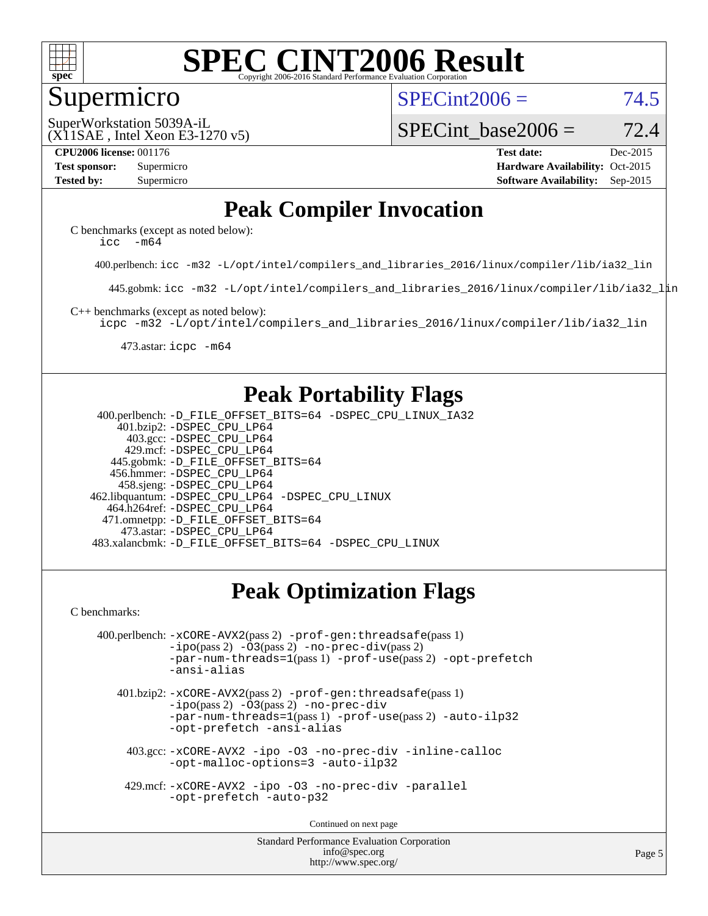

#### Supermicro

 $SPECint2006 = 74.5$  $SPECint2006 = 74.5$ 

(X11SAE , Intel Xeon E3-1270 v5) SuperWorkstation 5039A-iL

SPECint base2006 =  $72.4$ 

**[CPU2006 license:](http://www.spec.org/auto/cpu2006/Docs/result-fields.html#CPU2006license)** 001176 **[Test date:](http://www.spec.org/auto/cpu2006/Docs/result-fields.html#Testdate)** Dec-2015 **[Test sponsor:](http://www.spec.org/auto/cpu2006/Docs/result-fields.html#Testsponsor)** Supermicro **[Hardware Availability:](http://www.spec.org/auto/cpu2006/Docs/result-fields.html#HardwareAvailability)** Oct-2015 **[Tested by:](http://www.spec.org/auto/cpu2006/Docs/result-fields.html#Testedby)** Supermicro **Supermicro [Software Availability:](http://www.spec.org/auto/cpu2006/Docs/result-fields.html#SoftwareAvailability)** Sep-2015

### **[Peak Compiler Invocation](http://www.spec.org/auto/cpu2006/Docs/result-fields.html#PeakCompilerInvocation)**

[C benchmarks \(except as noted below\)](http://www.spec.org/auto/cpu2006/Docs/result-fields.html#Cbenchmarksexceptasnotedbelow): icc  $-m64$ 

400.perlbench: [icc -m32 -L/opt/intel/compilers\\_and\\_libraries\\_2016/linux/compiler/lib/ia32\\_lin](http://www.spec.org/cpu2006/results/res2016q1/cpu2006-20151217-38476.flags.html#user_peakCCLD400_perlbench_intel_icc_e10256ba5924b668798078a321b0cb3f)

445.gobmk: [icc -m32 -L/opt/intel/compilers\\_and\\_libraries\\_2016/linux/compiler/lib/ia32\\_lin](http://www.spec.org/cpu2006/results/res2016q1/cpu2006-20151217-38476.flags.html#user_peakCCLD445_gobmk_intel_icc_e10256ba5924b668798078a321b0cb3f)

[C++ benchmarks \(except as noted below\):](http://www.spec.org/auto/cpu2006/Docs/result-fields.html#CXXbenchmarksexceptasnotedbelow)

[icpc -m32 -L/opt/intel/compilers\\_and\\_libraries\\_2016/linux/compiler/lib/ia32\\_lin](http://www.spec.org/cpu2006/results/res2016q1/cpu2006-20151217-38476.flags.html#user_CXXpeak_intel_icpc_b4f50a394bdb4597aa5879c16bc3f5c5)

473.astar: [icpc -m64](http://www.spec.org/cpu2006/results/res2016q1/cpu2006-20151217-38476.flags.html#user_peakCXXLD473_astar_intel_icpc_64bit_fc66a5337ce925472a5c54ad6a0de310)

### **[Peak Portability Flags](http://www.spec.org/auto/cpu2006/Docs/result-fields.html#PeakPortabilityFlags)**

 400.perlbench: [-D\\_FILE\\_OFFSET\\_BITS=64](http://www.spec.org/cpu2006/results/res2016q1/cpu2006-20151217-38476.flags.html#user_peakPORTABILITY400_perlbench_file_offset_bits_64_438cf9856305ebd76870a2c6dc2689ab) [-DSPEC\\_CPU\\_LINUX\\_IA32](http://www.spec.org/cpu2006/results/res2016q1/cpu2006-20151217-38476.flags.html#b400.perlbench_peakCPORTABILITY_DSPEC_CPU_LINUX_IA32) 401.bzip2: [-DSPEC\\_CPU\\_LP64](http://www.spec.org/cpu2006/results/res2016q1/cpu2006-20151217-38476.flags.html#suite_peakPORTABILITY401_bzip2_DSPEC_CPU_LP64) 403.gcc: [-DSPEC\\_CPU\\_LP64](http://www.spec.org/cpu2006/results/res2016q1/cpu2006-20151217-38476.flags.html#suite_peakPORTABILITY403_gcc_DSPEC_CPU_LP64) 429.mcf: [-DSPEC\\_CPU\\_LP64](http://www.spec.org/cpu2006/results/res2016q1/cpu2006-20151217-38476.flags.html#suite_peakPORTABILITY429_mcf_DSPEC_CPU_LP64) 445.gobmk: [-D\\_FILE\\_OFFSET\\_BITS=64](http://www.spec.org/cpu2006/results/res2016q1/cpu2006-20151217-38476.flags.html#user_peakPORTABILITY445_gobmk_file_offset_bits_64_438cf9856305ebd76870a2c6dc2689ab) 456.hmmer: [-DSPEC\\_CPU\\_LP64](http://www.spec.org/cpu2006/results/res2016q1/cpu2006-20151217-38476.flags.html#suite_peakPORTABILITY456_hmmer_DSPEC_CPU_LP64) 458.sjeng: [-DSPEC\\_CPU\\_LP64](http://www.spec.org/cpu2006/results/res2016q1/cpu2006-20151217-38476.flags.html#suite_peakPORTABILITY458_sjeng_DSPEC_CPU_LP64) 462.libquantum: [-DSPEC\\_CPU\\_LP64](http://www.spec.org/cpu2006/results/res2016q1/cpu2006-20151217-38476.flags.html#suite_peakPORTABILITY462_libquantum_DSPEC_CPU_LP64) [-DSPEC\\_CPU\\_LINUX](http://www.spec.org/cpu2006/results/res2016q1/cpu2006-20151217-38476.flags.html#b462.libquantum_peakCPORTABILITY_DSPEC_CPU_LINUX) 464.h264ref: [-DSPEC\\_CPU\\_LP64](http://www.spec.org/cpu2006/results/res2016q1/cpu2006-20151217-38476.flags.html#suite_peakPORTABILITY464_h264ref_DSPEC_CPU_LP64) 471.omnetpp: [-D\\_FILE\\_OFFSET\\_BITS=64](http://www.spec.org/cpu2006/results/res2016q1/cpu2006-20151217-38476.flags.html#user_peakPORTABILITY471_omnetpp_file_offset_bits_64_438cf9856305ebd76870a2c6dc2689ab) 473.astar: [-DSPEC\\_CPU\\_LP64](http://www.spec.org/cpu2006/results/res2016q1/cpu2006-20151217-38476.flags.html#suite_peakPORTABILITY473_astar_DSPEC_CPU_LP64) 483.xalancbmk: [-D\\_FILE\\_OFFSET\\_BITS=64](http://www.spec.org/cpu2006/results/res2016q1/cpu2006-20151217-38476.flags.html#user_peakPORTABILITY483_xalancbmk_file_offset_bits_64_438cf9856305ebd76870a2c6dc2689ab) [-DSPEC\\_CPU\\_LINUX](http://www.spec.org/cpu2006/results/res2016q1/cpu2006-20151217-38476.flags.html#b483.xalancbmk_peakCXXPORTABILITY_DSPEC_CPU_LINUX)

## **[Peak Optimization Flags](http://www.spec.org/auto/cpu2006/Docs/result-fields.html#PeakOptimizationFlags)**

[C benchmarks](http://www.spec.org/auto/cpu2006/Docs/result-fields.html#Cbenchmarks):

```
 400.perlbench: -xCORE-AVX2(pass 2) -prof-gen:threadsafe(pass 1)
   -i\text{po}(pass 2) -\overline{0}3(pass 2)-no-prec-div(pass 2)
   -par-num-threads=1(pass 1) -prof-use(pass 2) -opt-prefetch
   -ansi-alias
```
 401.bzip2: [-xCORE-AVX2](http://www.spec.org/cpu2006/results/res2016q1/cpu2006-20151217-38476.flags.html#user_peakPASS2_CFLAGSPASS2_LDCFLAGS401_bzip2_f-xAVX2_5f5fc0cbe2c9f62c816d3e45806c70d7)(pass 2) [-prof-gen:threadsafe](http://www.spec.org/cpu2006/results/res2016q1/cpu2006-20151217-38476.flags.html#user_peakPASS1_CFLAGSPASS1_LDCFLAGS401_bzip2_prof_gen_21a26eb79f378b550acd7bec9fe4467a)(pass 1)  $-i\text{po}(pass 2) -03(pass 2) -no-prec-div$  $-i\text{po}(pass 2) -03(pass 2) -no-prec-div$ [-par-num-threads=1](http://www.spec.org/cpu2006/results/res2016q1/cpu2006-20151217-38476.flags.html#user_peakPASS1_CFLAGSPASS1_LDCFLAGS401_bzip2_par_num_threads_786a6ff141b4e9e90432e998842df6c2)(pass 1) [-prof-use](http://www.spec.org/cpu2006/results/res2016q1/cpu2006-20151217-38476.flags.html#user_peakPASS2_CFLAGSPASS2_LDCFLAGS401_bzip2_prof_use_bccf7792157ff70d64e32fe3e1250b55)(pass 2) [-auto-ilp32](http://www.spec.org/cpu2006/results/res2016q1/cpu2006-20151217-38476.flags.html#user_peakCOPTIMIZE401_bzip2_f-auto-ilp32) [-opt-prefetch](http://www.spec.org/cpu2006/results/res2016q1/cpu2006-20151217-38476.flags.html#user_peakCOPTIMIZE401_bzip2_f-opt-prefetch) [-ansi-alias](http://www.spec.org/cpu2006/results/res2016q1/cpu2006-20151217-38476.flags.html#user_peakCOPTIMIZE401_bzip2_f-ansi-alias)

 403.gcc: [-xCORE-AVX2](http://www.spec.org/cpu2006/results/res2016q1/cpu2006-20151217-38476.flags.html#user_peakCOPTIMIZE403_gcc_f-xAVX2_5f5fc0cbe2c9f62c816d3e45806c70d7) [-ipo](http://www.spec.org/cpu2006/results/res2016q1/cpu2006-20151217-38476.flags.html#user_peakCOPTIMIZE403_gcc_f-ipo) [-O3](http://www.spec.org/cpu2006/results/res2016q1/cpu2006-20151217-38476.flags.html#user_peakCOPTIMIZE403_gcc_f-O3) [-no-prec-div](http://www.spec.org/cpu2006/results/res2016q1/cpu2006-20151217-38476.flags.html#user_peakCOPTIMIZE403_gcc_f-no-prec-div) [-inline-calloc](http://www.spec.org/cpu2006/results/res2016q1/cpu2006-20151217-38476.flags.html#user_peakCOPTIMIZE403_gcc_f-inline-calloc) [-opt-malloc-options=3](http://www.spec.org/cpu2006/results/res2016q1/cpu2006-20151217-38476.flags.html#user_peakCOPTIMIZE403_gcc_f-opt-malloc-options_13ab9b803cf986b4ee62f0a5998c2238) [-auto-ilp32](http://www.spec.org/cpu2006/results/res2016q1/cpu2006-20151217-38476.flags.html#user_peakCOPTIMIZE403_gcc_f-auto-ilp32)

 429.mcf: [-xCORE-AVX2](http://www.spec.org/cpu2006/results/res2016q1/cpu2006-20151217-38476.flags.html#user_peakCOPTIMIZE429_mcf_f-xAVX2_5f5fc0cbe2c9f62c816d3e45806c70d7) [-ipo](http://www.spec.org/cpu2006/results/res2016q1/cpu2006-20151217-38476.flags.html#user_peakCOPTIMIZE429_mcf_f-ipo) [-O3](http://www.spec.org/cpu2006/results/res2016q1/cpu2006-20151217-38476.flags.html#user_peakCOPTIMIZE429_mcf_f-O3) [-no-prec-div](http://www.spec.org/cpu2006/results/res2016q1/cpu2006-20151217-38476.flags.html#user_peakCOPTIMIZE429_mcf_f-no-prec-div) [-parallel](http://www.spec.org/cpu2006/results/res2016q1/cpu2006-20151217-38476.flags.html#user_peakCOPTIMIZE429_mcf_f-parallel) [-opt-prefetch](http://www.spec.org/cpu2006/results/res2016q1/cpu2006-20151217-38476.flags.html#user_peakCOPTIMIZE429_mcf_f-opt-prefetch) [-auto-p32](http://www.spec.org/cpu2006/results/res2016q1/cpu2006-20151217-38476.flags.html#user_peakCOPTIMIZE429_mcf_f-auto-p32)

Continued on next page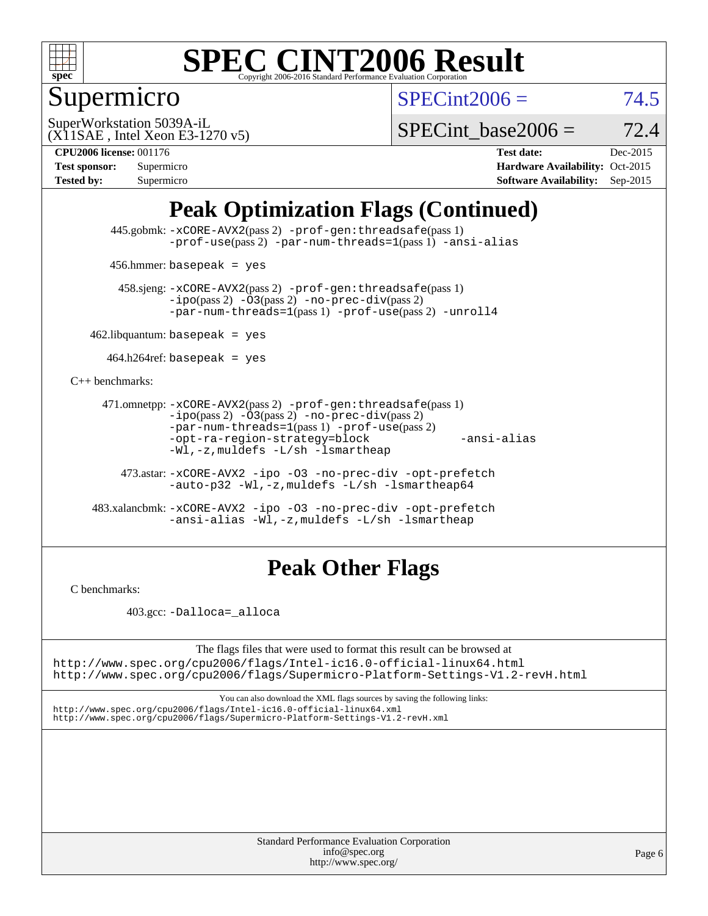

## Supermicro

 $SPECint2006 = 74.5$  $SPECint2006 = 74.5$ 

(X11SAE , Intel Xeon E3-1270 v5) SuperWorkstation 5039A-iL

SPECint base2006 =  $72.4$ 

**[CPU2006 license:](http://www.spec.org/auto/cpu2006/Docs/result-fields.html#CPU2006license)** 001176 **[Test date:](http://www.spec.org/auto/cpu2006/Docs/result-fields.html#Testdate)** Dec-2015 **[Test sponsor:](http://www.spec.org/auto/cpu2006/Docs/result-fields.html#Testsponsor)** Supermicro **[Hardware Availability:](http://www.spec.org/auto/cpu2006/Docs/result-fields.html#HardwareAvailability)** Oct-2015 **[Tested by:](http://www.spec.org/auto/cpu2006/Docs/result-fields.html#Testedby)** Supermicro **Supermicro [Software Availability:](http://www.spec.org/auto/cpu2006/Docs/result-fields.html#SoftwareAvailability)** Sep-2015

## **[Peak Optimization Flags \(Continued\)](http://www.spec.org/auto/cpu2006/Docs/result-fields.html#PeakOptimizationFlags)**

 445.gobmk: [-xCORE-AVX2](http://www.spec.org/cpu2006/results/res2016q1/cpu2006-20151217-38476.flags.html#user_peakPASS2_CFLAGSPASS2_LDCFLAGS445_gobmk_f-xAVX2_5f5fc0cbe2c9f62c816d3e45806c70d7)(pass 2) [-prof-gen:threadsafe](http://www.spec.org/cpu2006/results/res2016q1/cpu2006-20151217-38476.flags.html#user_peakPASS1_CFLAGSPASS1_LDCFLAGS445_gobmk_prof_gen_21a26eb79f378b550acd7bec9fe4467a)(pass 1) [-prof-use](http://www.spec.org/cpu2006/results/res2016q1/cpu2006-20151217-38476.flags.html#user_peakPASS2_CFLAGSPASS2_LDCFLAGS445_gobmk_prof_use_bccf7792157ff70d64e32fe3e1250b55)(pass 2) [-par-num-threads=1](http://www.spec.org/cpu2006/results/res2016q1/cpu2006-20151217-38476.flags.html#user_peakPASS1_CFLAGSPASS1_LDCFLAGS445_gobmk_par_num_threads_786a6ff141b4e9e90432e998842df6c2)(pass 1) [-ansi-alias](http://www.spec.org/cpu2006/results/res2016q1/cpu2006-20151217-38476.flags.html#user_peakCOPTIMIZE445_gobmk_f-ansi-alias)

456.hmmer: basepeak = yes

 458.sjeng: [-xCORE-AVX2](http://www.spec.org/cpu2006/results/res2016q1/cpu2006-20151217-38476.flags.html#user_peakPASS2_CFLAGSPASS2_LDCFLAGS458_sjeng_f-xAVX2_5f5fc0cbe2c9f62c816d3e45806c70d7)(pass 2) [-prof-gen:threadsafe](http://www.spec.org/cpu2006/results/res2016q1/cpu2006-20151217-38476.flags.html#user_peakPASS1_CFLAGSPASS1_LDCFLAGS458_sjeng_prof_gen_21a26eb79f378b550acd7bec9fe4467a)(pass 1)  $-ipo(pass 2) -\overline{03(pass 2)}$  $-ipo(pass 2) -\overline{03(pass 2)}$  [-no-prec-div](http://www.spec.org/cpu2006/results/res2016q1/cpu2006-20151217-38476.flags.html#user_peakPASS2_CFLAGSPASS2_LDCFLAGS458_sjeng_f-no-prec-div)(pass 2) [-par-num-threads=1](http://www.spec.org/cpu2006/results/res2016q1/cpu2006-20151217-38476.flags.html#user_peakPASS1_CFLAGSPASS1_LDCFLAGS458_sjeng_par_num_threads_786a6ff141b4e9e90432e998842df6c2)(pass 1) [-prof-use](http://www.spec.org/cpu2006/results/res2016q1/cpu2006-20151217-38476.flags.html#user_peakPASS2_CFLAGSPASS2_LDCFLAGS458_sjeng_prof_use_bccf7792157ff70d64e32fe3e1250b55)(pass 2) [-unroll4](http://www.spec.org/cpu2006/results/res2016q1/cpu2006-20151217-38476.flags.html#user_peakCOPTIMIZE458_sjeng_f-unroll_4e5e4ed65b7fd20bdcd365bec371b81f)

 $462$ .libquantum: basepeak = yes

 $464.h264$ ref: basepeak = yes

[C++ benchmarks:](http://www.spec.org/auto/cpu2006/Docs/result-fields.html#CXXbenchmarks)

```
 471.omnetpp: -xCORE-AVX2(pass 2) -prof-gen:threadsafe(pass 1)
-i\text{po}(pass 2) -03(pass 2) -no-prec-div(pass 2)-par-num-threads=1(pass 1) -prof-use(pass 2)
-opt-ra-region-strategy=block -ansi-alias
-Wl,-z,muldefs -L/sh -lsmartheap
```
 473.astar: [-xCORE-AVX2](http://www.spec.org/cpu2006/results/res2016q1/cpu2006-20151217-38476.flags.html#user_peakCXXOPTIMIZE473_astar_f-xAVX2_5f5fc0cbe2c9f62c816d3e45806c70d7) [-ipo](http://www.spec.org/cpu2006/results/res2016q1/cpu2006-20151217-38476.flags.html#user_peakCXXOPTIMIZE473_astar_f-ipo) [-O3](http://www.spec.org/cpu2006/results/res2016q1/cpu2006-20151217-38476.flags.html#user_peakCXXOPTIMIZE473_astar_f-O3) [-no-prec-div](http://www.spec.org/cpu2006/results/res2016q1/cpu2006-20151217-38476.flags.html#user_peakCXXOPTIMIZE473_astar_f-no-prec-div) [-opt-prefetch](http://www.spec.org/cpu2006/results/res2016q1/cpu2006-20151217-38476.flags.html#user_peakCXXOPTIMIZE473_astar_f-opt-prefetch) [-auto-p32](http://www.spec.org/cpu2006/results/res2016q1/cpu2006-20151217-38476.flags.html#user_peakCXXOPTIMIZE473_astar_f-auto-p32) [-Wl,-z,muldefs](http://www.spec.org/cpu2006/results/res2016q1/cpu2006-20151217-38476.flags.html#user_peakEXTRA_LDFLAGS473_astar_link_force_multiple1_74079c344b956b9658436fd1b6dd3a8a) [-L/sh -lsmartheap64](http://www.spec.org/cpu2006/results/res2016q1/cpu2006-20151217-38476.flags.html#user_peakEXTRA_LIBS473_astar_SmartHeap64_ed4ef857ce90951921efb0d91eb88472)

 483.xalancbmk: [-xCORE-AVX2](http://www.spec.org/cpu2006/results/res2016q1/cpu2006-20151217-38476.flags.html#user_peakCXXOPTIMIZE483_xalancbmk_f-xAVX2_5f5fc0cbe2c9f62c816d3e45806c70d7) [-ipo](http://www.spec.org/cpu2006/results/res2016q1/cpu2006-20151217-38476.flags.html#user_peakCXXOPTIMIZE483_xalancbmk_f-ipo) [-O3](http://www.spec.org/cpu2006/results/res2016q1/cpu2006-20151217-38476.flags.html#user_peakCXXOPTIMIZE483_xalancbmk_f-O3) [-no-prec-div](http://www.spec.org/cpu2006/results/res2016q1/cpu2006-20151217-38476.flags.html#user_peakCXXOPTIMIZE483_xalancbmk_f-no-prec-div) [-opt-prefetch](http://www.spec.org/cpu2006/results/res2016q1/cpu2006-20151217-38476.flags.html#user_peakCXXOPTIMIZE483_xalancbmk_f-opt-prefetch) [-ansi-alias](http://www.spec.org/cpu2006/results/res2016q1/cpu2006-20151217-38476.flags.html#user_peakCXXOPTIMIZE483_xalancbmk_f-ansi-alias) [-Wl,-z,muldefs](http://www.spec.org/cpu2006/results/res2016q1/cpu2006-20151217-38476.flags.html#user_peakEXTRA_LDFLAGS483_xalancbmk_link_force_multiple1_74079c344b956b9658436fd1b6dd3a8a) [-L/sh -lsmartheap](http://www.spec.org/cpu2006/results/res2016q1/cpu2006-20151217-38476.flags.html#user_peakEXTRA_LIBS483_xalancbmk_SmartHeap_32f6c82aa1ed9c52345d30cf6e4a0499)

### **[Peak Other Flags](http://www.spec.org/auto/cpu2006/Docs/result-fields.html#PeakOtherFlags)**

[C benchmarks](http://www.spec.org/auto/cpu2006/Docs/result-fields.html#Cbenchmarks):

403.gcc: [-Dalloca=\\_alloca](http://www.spec.org/cpu2006/results/res2016q1/cpu2006-20151217-38476.flags.html#b403.gcc_peakEXTRA_CFLAGS_Dalloca_be3056838c12de2578596ca5467af7f3)

The flags files that were used to format this result can be browsed at <http://www.spec.org/cpu2006/flags/Intel-ic16.0-official-linux64.html>

<http://www.spec.org/cpu2006/flags/Supermicro-Platform-Settings-V1.2-revH.html>

You can also download the XML flags sources by saving the following links: <http://www.spec.org/cpu2006/flags/Intel-ic16.0-official-linux64.xml> <http://www.spec.org/cpu2006/flags/Supermicro-Platform-Settings-V1.2-revH.xml>